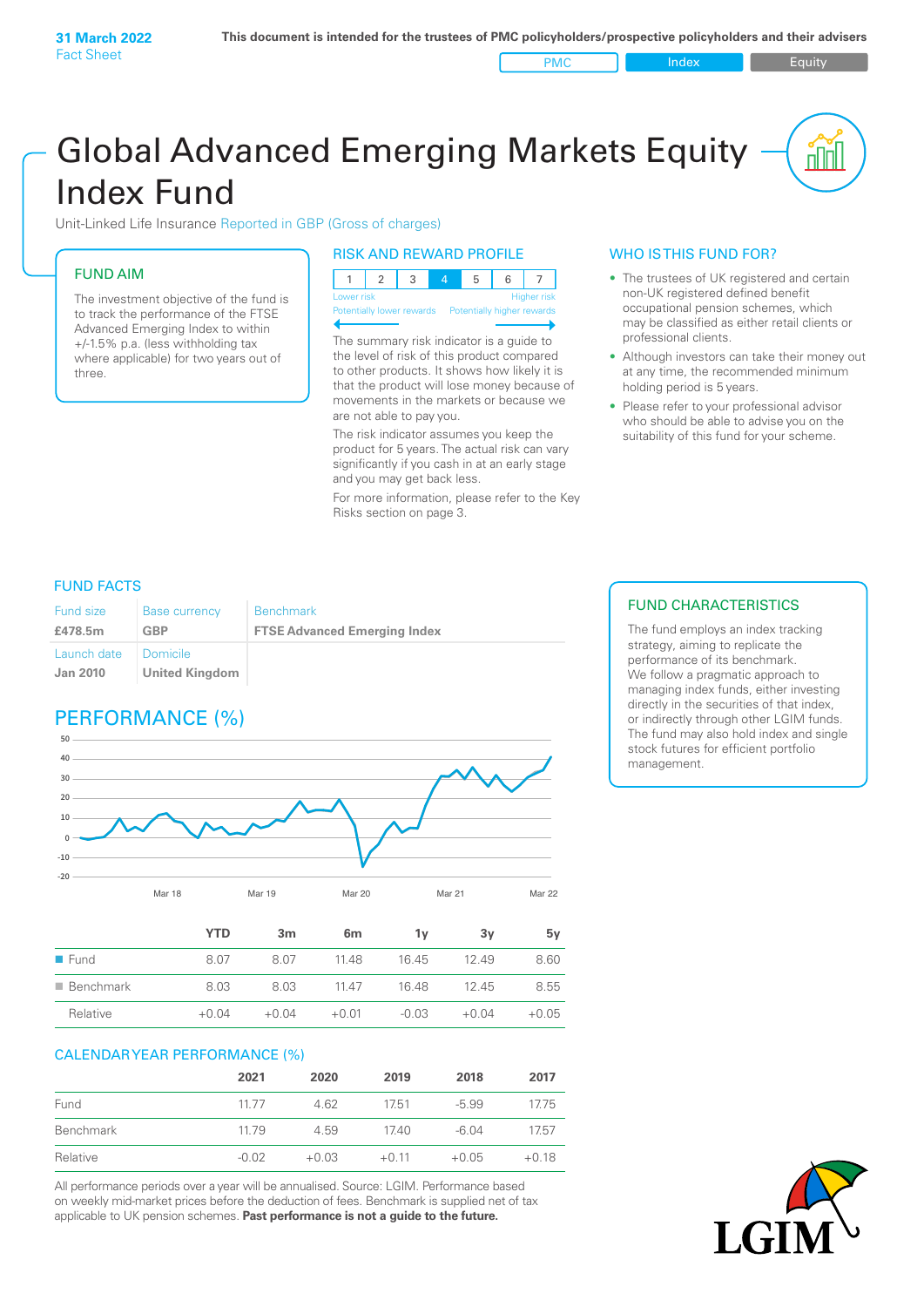PMC Index PMC Equity

# Global Advanced Emerging Markets Equity Index Fund

Unit-Linked Life Insurance Reported in GBP (Gross of charges)

## FUND AIM

The investment objective of the fund is to track the performance of the FTSE Advanced Emerging Index to within +/‑1.5% p.a. (less withholding tax where applicable) for two years out of three.

### RISK AND REWARD PROFILE

| Lower risk |  |  |  | <b>Higher risk</b> |
|------------|--|--|--|--------------------|

ntially lower rewards Potentially higher re

The summary risk indicator is a guide to the level of risk of this product compared to other products. It shows how likely it is that the product will lose money because of movements in the markets or because we are not able to pay you.

The risk indicator assumes you keep the product for 5 years. The actual risk can vary significantly if you cash in at an early stage and you may get back less.

For more information, please refer to the Key Risks section on page 3.

## WHO IS THIS FUND FOR?

- The trustees of UK registered and certain non-UK registered defined benefit occupational pension schemes, which may be classified as either retail clients or professional clients.
- Although investors can take their money out at any time, the recommended minimum holding period is 5 years.
- Please refer to your professional advisor who should be able to advise you on the suitability of this fund for your scheme.

## FUND FACTS

| <b>Fund size</b>               | <b>Base currency</b>                     | <b>Benchmark</b>                    |
|--------------------------------|------------------------------------------|-------------------------------------|
| £478.5m                        | GBP                                      | <b>FTSE Advanced Emerging Index</b> |
| Launch date<br><b>Jan 2010</b> | <b>Domicile</b><br><b>United Kingdom</b> |                                     |

# PERFORMANCE (%)



|                          | 1 I LJ  | ын      | om      |         | ΟV      | IJν     |
|--------------------------|---------|---------|---------|---------|---------|---------|
| $\blacksquare$ Fund      | 8.07    | 8.07    | 11.48   | 16.45   | 12.49   | 8.60    |
| $\blacksquare$ Benchmark | 8.03    | 8.03    | 11.47   | 16.48   | 12.45   | 8.55    |
| Relative                 | $+0.04$ | $+0.04$ | $+0.01$ | $-0.03$ | $+0.04$ | $+0.05$ |

#### CALENDAR YEAR PERFORMANCE (%)

|           | 2021    | 2020    | 2019    | 2018    | 2017    |
|-----------|---------|---------|---------|---------|---------|
| Fund      | 1177    | 4.62    | 17.51   | $-5.99$ | 17.75   |
| Benchmark | 11.79   | 4.59    | 17.40   | $-6.04$ | 17.57   |
| Relative  | $-0.02$ | $+0.03$ | $+0.11$ | $+0.05$ | $+0.18$ |

All performance periods over a year will be annualised. Source: LGIM. Performance based on weekly mid-market prices before the deduction of fees. Benchmark is supplied net of tax applicable to UK pension schemes. **Past performance is not a guide to the future.**

## FUND CHARACTERISTICS

The fund employs an index tracking strategy, aiming to replicate the performance of its benchmark. We follow a pragmatic approach to managing index funds, either investing directly in the securities of that index, or indirectly through other LGIM funds. The fund may also hold index and single stock futures for efficient portfolio management.

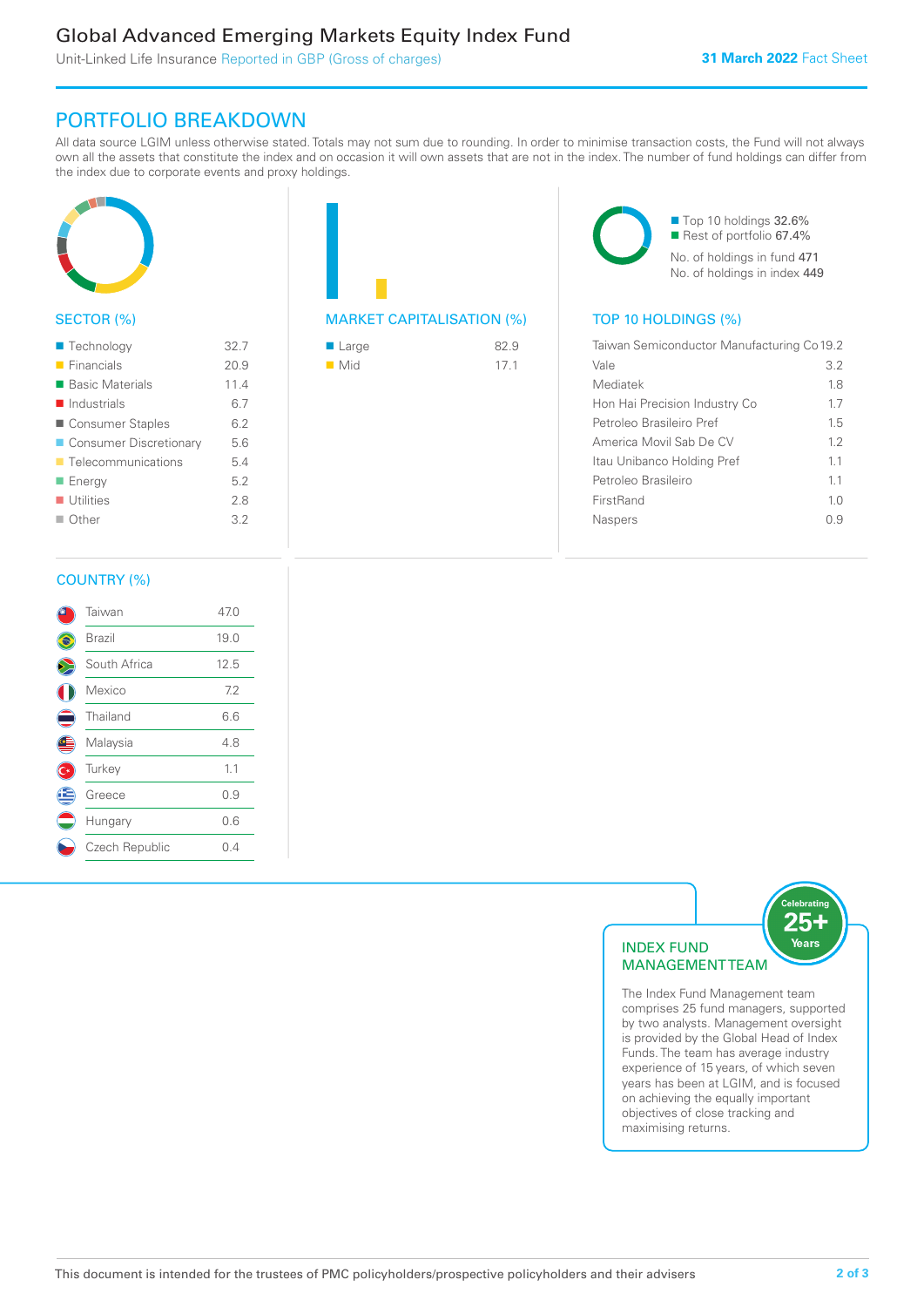# Global Advanced Emerging Markets Equity Index Fund

Unit-Linked Life Insurance Reported in GBP (Gross of charges)

## PORTFOLIO BREAKDOWN

All data source LGIM unless otherwise stated. Totals may not sum due to rounding. In order to minimise transaction costs, the Fund will not always own all the assets that constitute the index and on occasion it will own assets that are not in the index. The number of fund holdings can differ from the index due to corporate events and proxy holdings.



## SECTOR (%)

| ■ Technology               | 32.7 |
|----------------------------|------|
| $\blacksquare$ Financials  | 20.9 |
| ■ Basic Materials          | 11.4 |
| $\blacksquare$ Industrials | 6.7  |
| ■ Consumer Staples         | 6.2  |
| ■ Consumer Discretionary   | 5.6  |
| ■ Telecommunications       | 5.4  |
| ■ Energy                   | 5.2  |
| <b>Utilities</b>           | 2.8  |
| $\blacksquare$ Other       | 3.2  |
|                            |      |

|  | <b>MARKET CAPITALISATION (%)</b> |  |
|--|----------------------------------|--|

| ■ Large            | 82.9 |
|--------------------|------|
| $\blacksquare$ Mid | 17.1 |

■ Top 10 holdings 32.6% ■ Rest of portfolio 67.4% No. of holdings in fund 471 No. of holdings in index 449

## TOP 10 HOLDINGS (%)

| Taiwan Semiconductor Manufacturing Co 19.2 |                |
|--------------------------------------------|----------------|
| Vale                                       | 3.2            |
| Mediatek                                   | 1.8            |
| Hon Hai Precision Industry Co              | 1.7            |
| Petroleo Brasileiro Pref                   | 1.5            |
| America Movil Sab De CV                    | 12             |
| Itau Unibanco Holding Pref                 | 11             |
| Petroleo Brasileiro                        | 11             |
| FirstRand                                  | 1 <sub>0</sub> |
| <b>Naspers</b>                             | ი 9            |
|                                            |                |

#### COUNTRY (%)

|   | Taiwan         | 47.0 |
|---|----------------|------|
|   | Brazil         | 19.0 |
|   | South Africa   | 12.5 |
|   | Mexico         | 7.2  |
|   | Thailand       | 6.6  |
|   | Malaysia       | 4.8  |
|   | Turkey         | 1.1  |
| Ê | Greece         | 0.9  |
|   | Hungary        | 0.6  |
|   | Czech Republic | 0.4  |
|   |                |      |



The Index Fund Management team comprises 25 fund managers, supported by two analysts. Management oversight is provided by the Global Head of Index Funds. The team has average industry experience of 15 years, of which seven years has been at LGIM, and is focused on achieving the equally important objectives of close tracking and maximising returns.